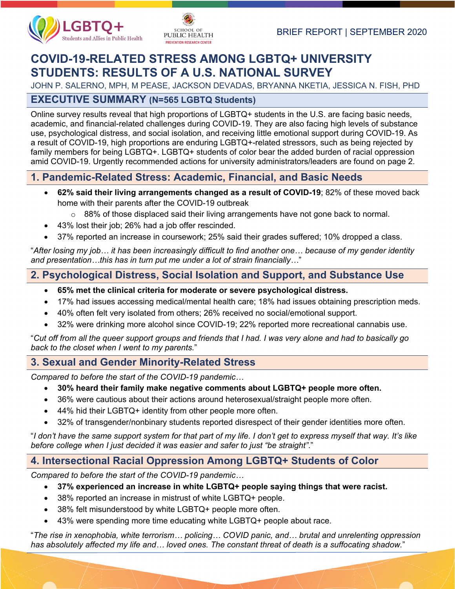



# **COVID-19-RELATED STRESS AMONG LGBTQ+ UNIVERSITY STUDENTS: RESULTS OF A U.S. NATIONAL SURVEY**

JOHN P. SALERNO, MPH, M PEASE, JACKSON DEVADAS, BRYANNA NKETIA, JESSICA N. FISH, PHD

# **EXECUTIVE SUMMARY (N=565 LGBTQ Students)**

Online survey results reveal that high proportions of LGBTQ+ students in the U.S. are facing basic needs, academic, and financial-related challenges during COVID-19. They are also facing high levels of substance use, psychological distress, and social isolation, and receiving little emotional support during COVID-19. As a result of COVID-19, high proportions are enduring LGBTQ+-related stressors, such as being rejected by family members for being LGBTQ+. LGBTQ+ students of color bear the added burden of racial oppression amid COVID-19. Urgently recommended actions for university administrators/leaders are found on page 2.

# **1. Pandemic-Related Stress: Academic, Financial, and Basic Needs**

- **62% said their living arrangements changed as a result of COVID-19**; 82% of these moved back home with their parents after the COVID-19 outbreak
	- $\circ$  88% of those displaced said their living arrangements have not gone back to normal.
- 43% lost their job; 26% had a job offer rescinded.
- 37% reported an increase in coursework; 25% said their grades suffered; 10% dropped a class.

"*After losing my job… it has been increasingly difficult to find another one… because of my gender identity and presentation…this has in turn put me under a lot of strain financially…*"

# **2. Psychological Distress, Social Isolation and Support, and Substance Use**

- **65% met the clinical criteria for moderate or severe psychological distress.**
- 17% had issues accessing medical/mental health care; 18% had issues obtaining prescription meds.
- 40% often felt very isolated from others; 26% received no social/emotional support.
- 32% were drinking more alcohol since COVID-19; 22% reported more recreational cannabis use.

"*Cut off from all the queer support groups and friends that I had. I was very alone and had to basically go back to the closet when I went to my parents.*"

# **3. Sexual and Gender Minority-Related Stress**

*Compared to before the start of the COVID-19 pandemic…*

- **30% heard their family make negative comments about LGBTQ+ people more often.**
- 36% were cautious about their actions around heterosexual/straight people more often.
- 44% hid their LGBTQ+ identity from other people more often.
- 32% of transgender/nonbinary students reported disrespect of their gender identities more often.

"*I don't have the same support system for that part of my life. I don't get to express myself that way. It's like before college when I just decided it was easier and safer to just "be straight"*."

# **4. Intersectional Racial Oppression Among LGBTQ+ Students of Color**

*Compared to before the start of the COVID-19 pandemic…*

- **37% experienced an increase in white LGBTQ+ people saying things that were racist.**
- 38% reported an increase in mistrust of white LGBTQ+ people.
- 38% felt misunderstood by white LGBTQ+ people more often.
- 43% were spending more time educating white LGBTQ+ people about race.

"*The rise in xenophobia, white terrorism… policing… COVID panic, and… brutal and unrelenting oppression has absolutely affected my life and… loved ones. The constant threat of death is a suffocating shadow.*"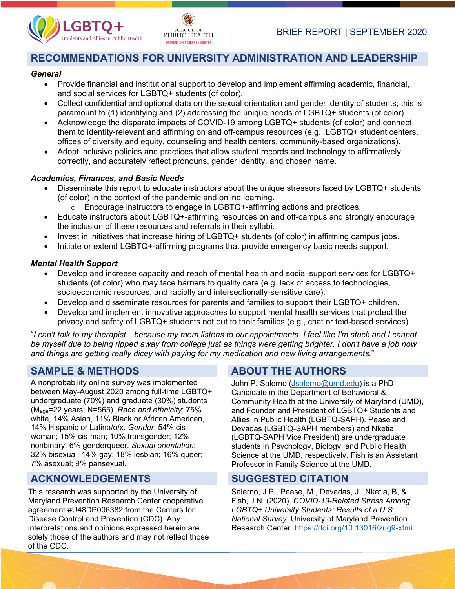



# **RECOMMENDATIONS FOR UNIVERSITY ADMINISTRATION AND LEADERSHIP**

#### *General*

- Provide financial and institutional support to develop and implement affirming academic, financial, and social services for LGBTQ+ students (of color).
- Collect confidential and optional data on the sexual orientation and gender identity of students; this is paramount to (1) identifying and (2) addressing the unique needs of LGBTQ+ students (of color).
- Acknowledge the disparate impacts of COVID-19 among LGBTQ+ students (of color) and connect them to identity-relevant and affirming on and off-campus resources (e.g., LGBTQ+ student centers, offices of diversity and equity, counseling and health centers, community-based organizations).
- Adopt inclusive policies and practices that allow student records and technology to affirmatively, correctly, and accurately reflect pronouns, gender identity, and chosen name.

### *Academics, Finances, and Basic Needs*

- Disseminate this report to educate instructors about the unique stressors faced by LGBTQ+ students (of color) in the context of the pandemic and online learning.
	- o Encourage instructors to engage in LGBTQ+-affirming actions and practices.
- Educate instructors about LGBTQ+-affirming resources on and off-campus and strongly encourage the inclusion of these resources and referrals in their syllabi.
- Invest in initiatives that increase hiring of LGBTQ+ students (of color) in affirming campus jobs.
- Initiate or extend LGBTQ+-affirming programs that provide emergency basic needs support.

### *Mental Health Support*

- Develop and increase capacity and reach of mental health and social support services for LGBTQ+ students (of color) who may face barriers to quality care (e.g. lack of access to technologies, socioeconomic resources, and racially and intersectionally-sensitive care).
- Develop and disseminate resources for parents and families to support their LGBTQ+ children.
- Develop and implement innovative approaches to support mental health services that protect the privacy and safety of LGBTQ+ students not out to their families (e.g., chat or text-based services).

"*I can't talk to my therapist…because my mom listens to our appointments. I feel like I'm stuck and I cannot be myself due to being ripped away from college just as things were getting brighter. I don't have a job now and things are getting really dicey with paying for my medication and new living arrangements.*"

A nonprobability online survey was implemented between May-August 2020 among full-time LGBTQ+ undergraduate (70%) and graduate (30%) students (Mage=22 years; N=565). *Race and ethnicity*: 75% white, 14% Asian, 11% Black or African American, 14% Hispanic or Latina/o/x. *Gender*: 54% ciswoman; 15% cis-man; 10% transgender; 12% nonbinary; 6% genderqueer. *Sexual orientation*: 32% bisexual; 14% gay; 18% lesbian; 16% queer; 7% asexual; 9% pansexual.

# **ACKNOWLEDGEMENTS SUGGESTED CITATION**

This research was supported by the University of Maryland Prevention Research Center cooperative agreement #U48DP006382 from the Centers for Disease Control and Prevention (CDC). Any interpretations and opinions expressed herein are solely those of the authors and may not reflect those of the CDC.

# **SAMPLE & METHODS ABOUT THE AUTHORS**

John P. Salerno [\(Jsalerno@umd.edu\)](mailto:Jsalerno@umd.edu) is a PhD Candidate in the Department of Behavioral & Community Health at the University of Maryland (UMD), and Founder and President of LGBTQ+ Students and Allies in Public Health (LGBTQ-SAPH). Pease and Devadas (LGBTQ-SAPH members) and Nketia (LGBTQ-SAPH Vice President) are undergraduate students in Psychology, Biology, and Public Health Science at the UMD, respectively. Fish is an Assistant Professor in Family Science at the UMD.

Salerno, J.P., Pease, M., Devadas, J., Nketia, B, & Fish, J.N. (2020). *COVID-19-Related Stress Among LGBTQ+ University Students: Results of a U.S. National Survey*. University of Maryland Prevention Research Center. <https://doi.org/10.13016/zug9-xtmi>